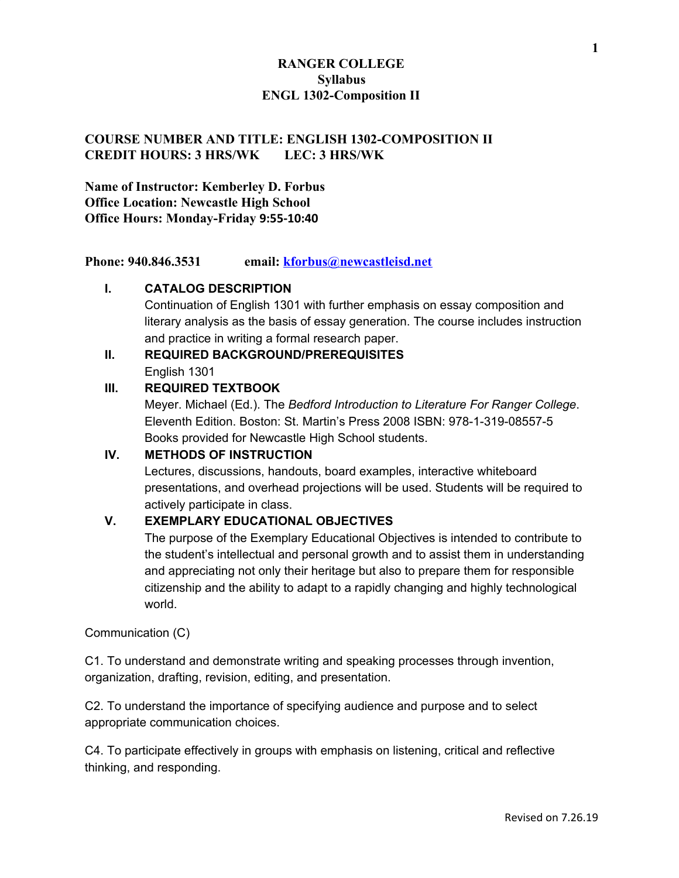## **COURSE NUMBER AND TITLE: ENGLISH 1302-COMPOSITION II CREDIT HOURS: 3 HRS/WK LEC: 3 HRS/WK**

**Name of Instructor: Kemberley D. Forbus Office Location: Newcastle High School Office Hours: Monday-Friday 9:55-10:40**

**Phone: 940.846.3531 email: [kforbus@newcastleisd.net](mailto:kforbus@newcastleisd.net)**

#### **I. CATALOG DESCRIPTION**

Continuation of English 1301 with further emphasis on essay composition and literary analysis as the basis of essay generation. The course includes instruction and practice in writing a formal research paper.

# **II. REQUIRED BACKGROUND/PREREQUISITES** English 1301

#### **III. REQUIRED TEXTBOOK**

Meyer. Michael (Ed.). The *Bedford Introduction to Literature For Ranger College*. Eleventh Edition. Boston: St. Martin's Press 2008 ISBN: 978-1-319-08557-5 Books provided for Newcastle High School students.

#### **IV. METHODS OF INSTRUCTION**

Lectures, discussions, handouts, board examples, interactive whiteboard presentations, and overhead projections will be used. Students will be required to actively participate in class.

## **V. EXEMPLARY EDUCATIONAL OBJECTIVES**

The purpose of the Exemplary Educational Objectives is intended to contribute to the student's intellectual and personal growth and to assist them in understanding and appreciating not only their heritage but also to prepare them for responsible citizenship and the ability to adapt to a rapidly changing and highly technological world.

#### Communication (C)

C1. To understand and demonstrate writing and speaking processes through invention, organization, drafting, revision, editing, and presentation.

C2. To understand the importance of specifying audience and purpose and to select appropriate communication choices.

C4. To participate effectively in groups with emphasis on listening, critical and reflective thinking, and responding.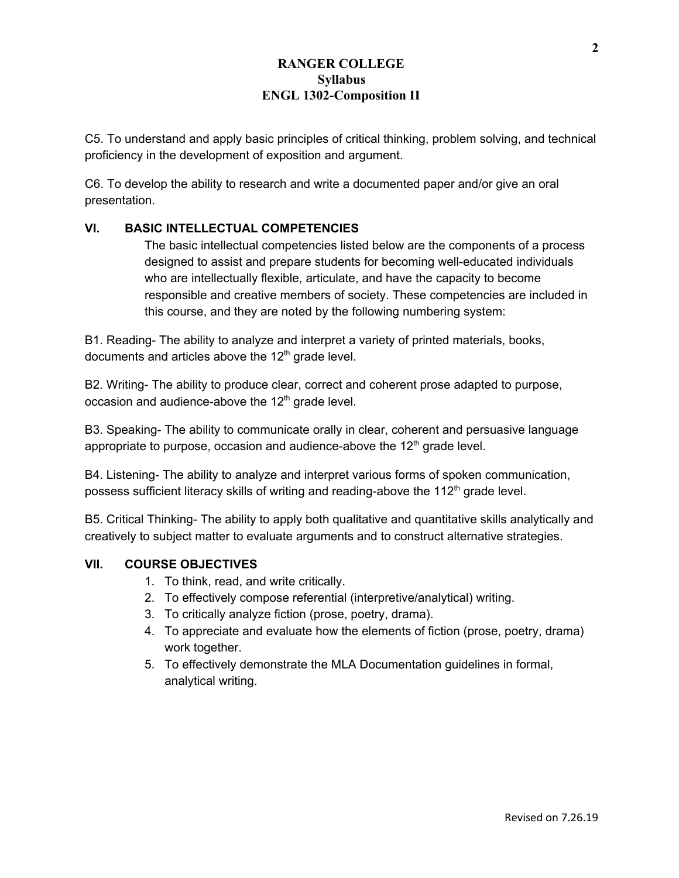C5. To understand and apply basic principles of critical thinking, problem solving, and technical proficiency in the development of exposition and argument.

C6. To develop the ability to research and write a documented paper and/or give an oral presentation.

## **VI. BASIC INTELLECTUAL COMPETENCIES**

The basic intellectual competencies listed below are the components of a process designed to assist and prepare students for becoming well-educated individuals who are intellectually flexible, articulate, and have the capacity to become responsible and creative members of society. These competencies are included in this course, and they are noted by the following numbering system:

B1. Reading- The ability to analyze and interpret a variety of printed materials, books, documents and articles above the  $12<sup>th</sup>$  grade level.

B2. Writing- The ability to produce clear, correct and coherent prose adapted to purpose, occasion and audience-above the  $12<sup>th</sup>$  grade level.

B3. Speaking- The ability to communicate orally in clear, coherent and persuasive language appropriate to purpose, occasion and audience-above the  $12<sup>th</sup>$  grade level.

B4. Listening- The ability to analyze and interpret various forms of spoken communication, possess sufficient literacy skills of writing and reading-above the 112<sup>th</sup> grade level.

B5. Critical Thinking- The ability to apply both qualitative and quantitative skills analytically and creatively to subject matter to evaluate arguments and to construct alternative strategies.

#### **VII. COURSE OBJECTIVES**

- 1. To think, read, and write critically.
- 2. To effectively compose referential (interpretive/analytical) writing.
- 3. To critically analyze fiction (prose, poetry, drama).
- 4. To appreciate and evaluate how the elements of fiction (prose, poetry, drama) work together.
- 5. To effectively demonstrate the MLA Documentation guidelines in formal, analytical writing.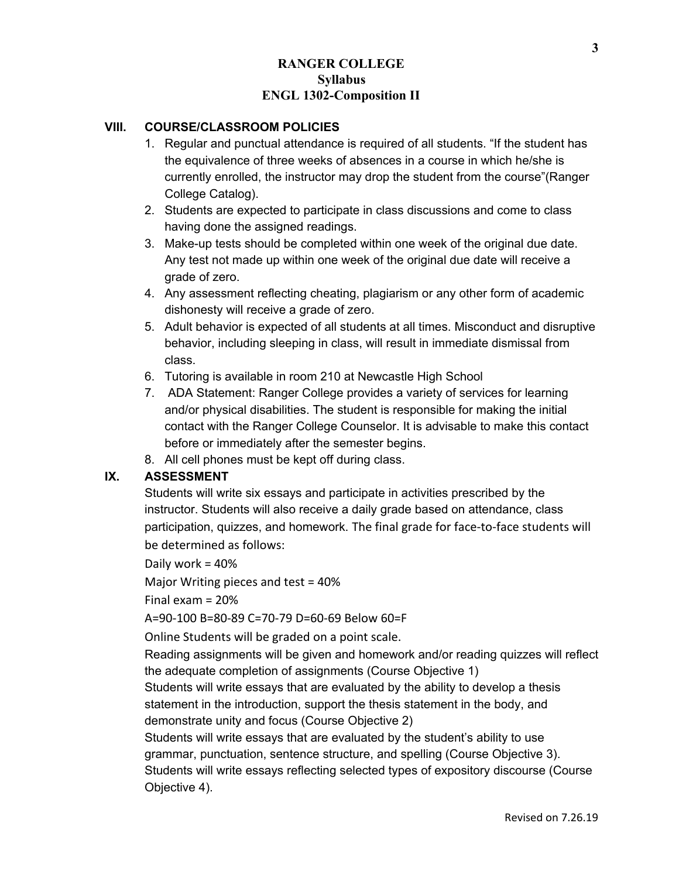#### **VIII. COURSE/CLASSROOM POLICIES**

- 1. Regular and punctual attendance is required of all students. "If the student has the equivalence of three weeks of absences in a course in which he/she is currently enrolled, the instructor may drop the student from the course"(Ranger College Catalog).
- 2. Students are expected to participate in class discussions and come to class having done the assigned readings.
- 3. Make-up tests should be completed within one week of the original due date. Any test not made up within one week of the original due date will receive a grade of zero.
- 4. Any assessment reflecting cheating, plagiarism or any other form of academic dishonesty will receive a grade of zero.
- 5. Adult behavior is expected of all students at all times. Misconduct and disruptive behavior, including sleeping in class, will result in immediate dismissal from class.
- 6. Tutoring is available in room 210 at Newcastle High School
- 7. ADA Statement: Ranger College provides a variety of services for learning and/or physical disabilities. The student is responsible for making the initial contact with the Ranger College Counselor. It is advisable to make this contact before or immediately after the semester begins.
- 8. All cell phones must be kept off during class.

## **IX. ASSESSMENT**

Students will write six essays and participate in activities prescribed by the instructor. Students will also receive a daily grade based on attendance, class participation, quizzes, and homework. The final grade for face-to-face students will be determined as follows:

Daily work = 40%

Major Writing pieces and test = 40%

Final exam = 20%

A=90-100 B=80-89 C=70-79 D=60-69 Below 60=F

Online Students will be graded on a point scale.

Reading assignments will be given and homework and/or reading quizzes will reflect the adequate completion of assignments (Course Objective 1)

Students will write essays that are evaluated by the ability to develop a thesis statement in the introduction, support the thesis statement in the body, and demonstrate unity and focus (Course Objective 2)

Students will write essays that are evaluated by the student's ability to use grammar, punctuation, sentence structure, and spelling (Course Objective 3). Students will write essays reflecting selected types of expository discourse (Course Objective 4).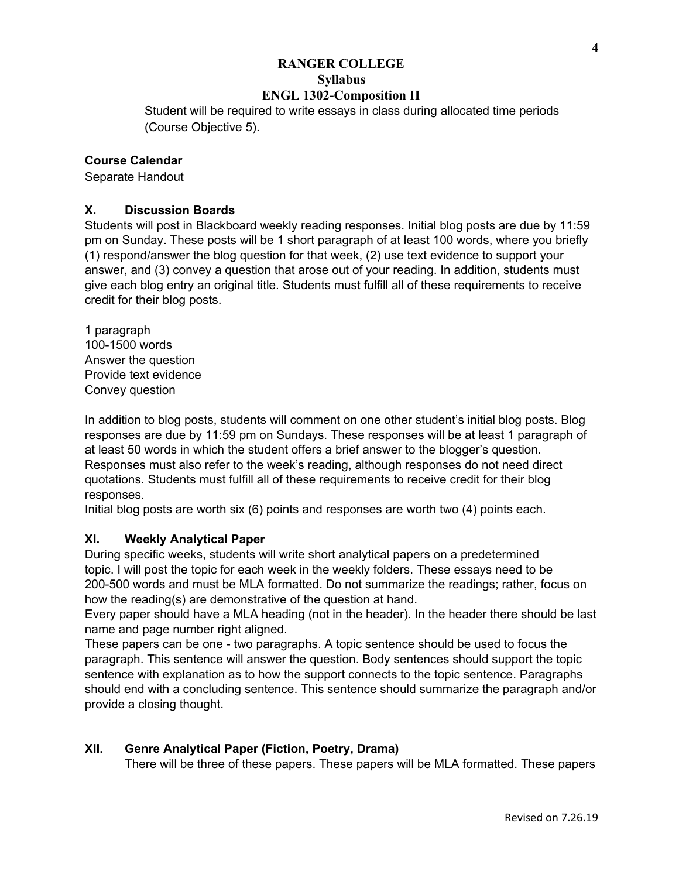Student will be required to write essays in class during allocated time periods (Course Objective 5).

#### **Course Calendar**

Separate Handout

#### **X. Discussion Boards**

Students will post in Blackboard weekly reading responses. Initial blog posts are due by 11:59 pm on Sunday. These posts will be 1 short paragraph of at least 100 words, where you briefly (1) respond/answer the blog question for that week, (2) use text evidence to support your answer, and (3) convey a question that arose out of your reading. In addition, students must give each blog entry an original title. Students must fulfill all of these requirements to receive credit for their blog posts.

1 paragraph 100-1500 words Answer the question Provide text evidence Convey question

In addition to blog posts, students will comment on one other student's initial blog posts. Blog responses are due by 11:59 pm on Sundays. These responses will be at least 1 paragraph of at least 50 words in which the student offers a brief answer to the blogger's question. Responses must also refer to the week's reading, although responses do not need direct quotations. Students must fulfill all of these requirements to receive credit for their blog responses.

Initial blog posts are worth six (6) points and responses are worth two (4) points each.

#### **XI. Weekly Analytical Paper**

During specific weeks, students will write short analytical papers on a predetermined topic. I will post the topic for each week in the weekly folders. These essays need to be 200-500 words and must be MLA formatted. Do not summarize the readings; rather, focus on how the reading(s) are demonstrative of the question at hand.

Every paper should have a MLA heading (not in the header). In the header there should be last name and page number right aligned.

These papers can be one - two paragraphs. A topic sentence should be used to focus the paragraph. This sentence will answer the question. Body sentences should support the topic sentence with explanation as to how the support connects to the topic sentence. Paragraphs should end with a concluding sentence. This sentence should summarize the paragraph and/or provide a closing thought.

## **XII. Genre Analytical Paper (Fiction, Poetry, Drama)**

There will be three of these papers. These papers will be MLA formatted. These papers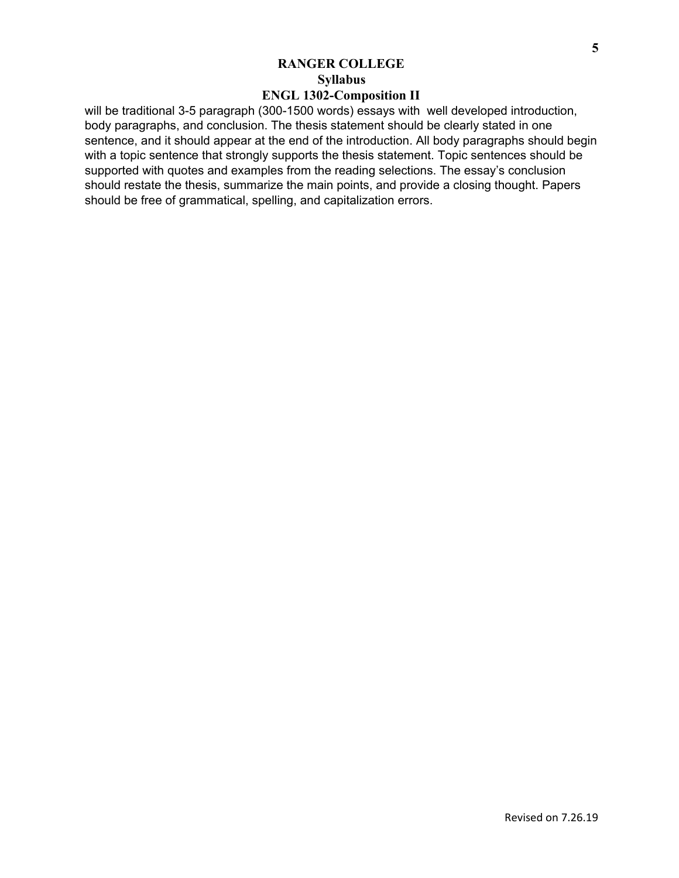will be traditional 3-5 paragraph (300-1500 words) essays with well developed introduction, body paragraphs, and conclusion. The thesis statement should be clearly stated in one sentence, and it should appear at the end of the introduction. All body paragraphs should begin with a topic sentence that strongly supports the thesis statement. Topic sentences should be supported with quotes and examples from the reading selections. The essay's conclusion should restate the thesis, summarize the main points, and provide a closing thought. Papers should be free of grammatical, spelling, and capitalization errors.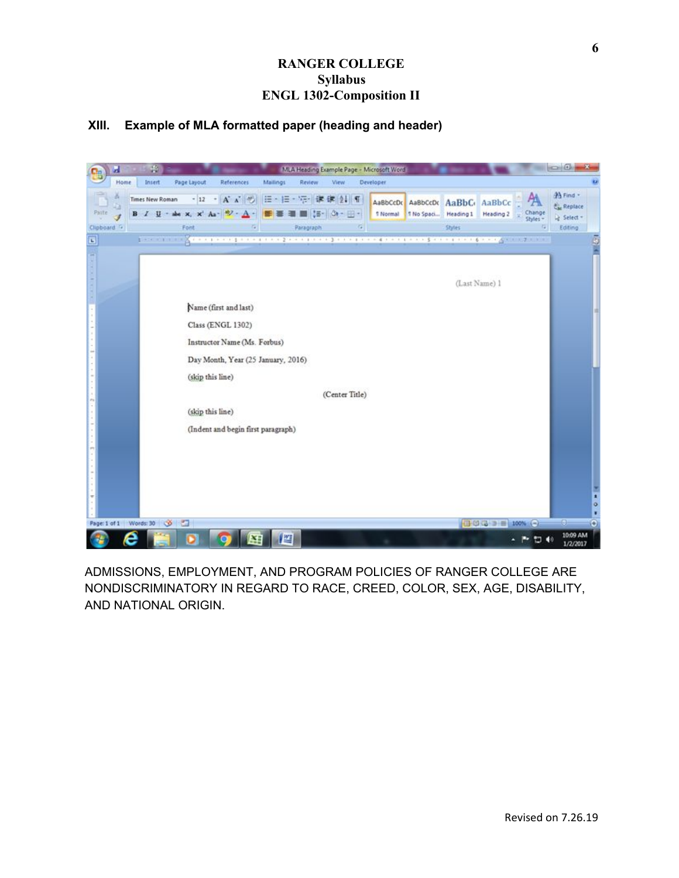## **XIII. Example of MLA formatted paper (heading and header)**



ADMISSIONS, EMPLOYMENT, AND PROGRAM POLICIES OF RANGER COLLEGE ARE NONDISCRIMINATORY IN REGARD TO RACE, CREED, COLOR, SEX, AGE, DISABILITY, AND NATIONAL ORIGIN.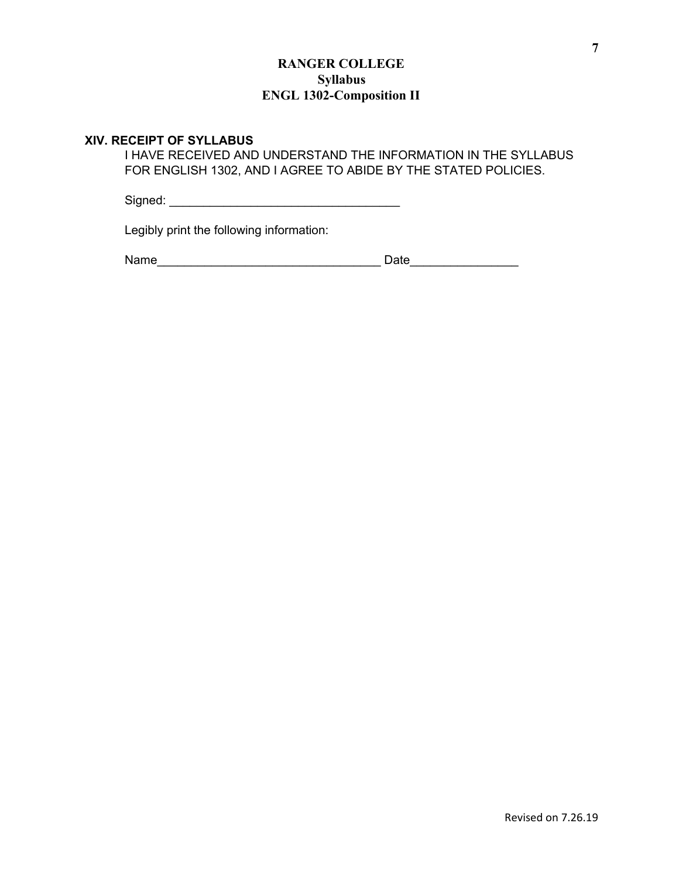#### **XIV. RECEIPT OF SYLLABUS**

I HAVE RECEIVED AND UNDERSTAND THE INFORMATION IN THE SYLLABUS FOR ENGLISH 1302, AND I AGREE TO ABIDE BY THE STATED POLICIES.

Signed: \_\_\_\_\_\_\_\_\_\_\_\_\_\_\_\_\_\_\_\_\_\_\_\_\_\_\_\_\_\_\_\_\_\_

Legibly print the following information:

Name\_\_\_\_\_\_\_\_\_\_\_\_\_\_\_\_\_\_\_\_\_\_\_\_\_\_\_\_\_\_\_\_\_ Date\_\_\_\_\_\_\_\_\_\_\_\_\_\_\_\_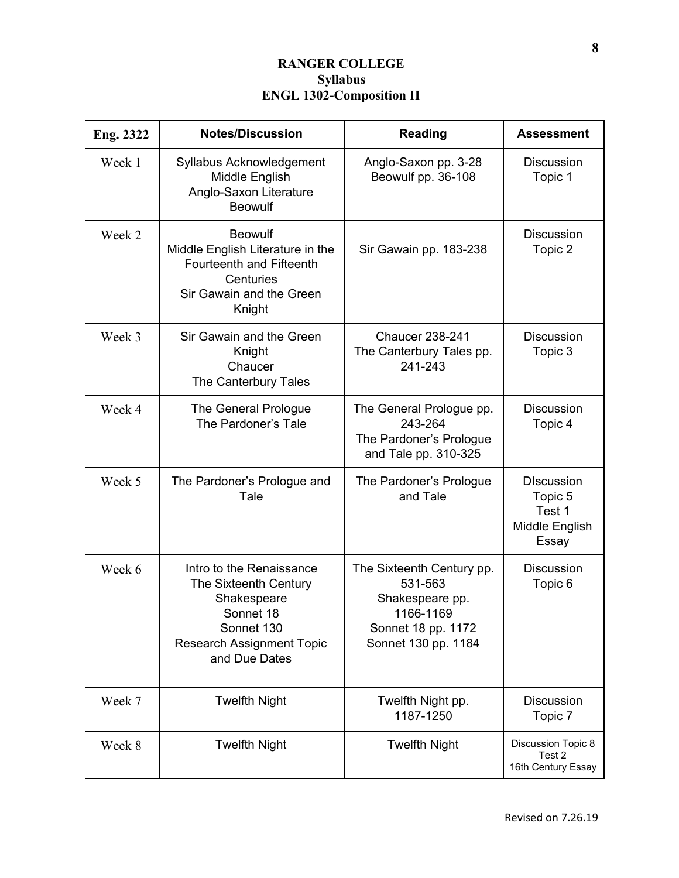| Eng. 2322 | <b>Notes/Discussion</b>                                                                                                                          | <b>Reading</b>                                                                                                    | <b>Assessment</b>                                                 |
|-----------|--------------------------------------------------------------------------------------------------------------------------------------------------|-------------------------------------------------------------------------------------------------------------------|-------------------------------------------------------------------|
| Week 1    | Syllabus Acknowledgement<br>Middle English<br>Anglo-Saxon Literature<br><b>Beowulf</b>                                                           | Anglo-Saxon pp. 3-28<br>Beowulf pp. 36-108                                                                        | <b>Discussion</b><br>Topic 1                                      |
| Week 2    | <b>Beowulf</b><br>Middle English Literature in the<br><b>Fourteenth and Fifteenth</b><br>Centuries<br>Sir Gawain and the Green<br>Knight         | Sir Gawain pp. 183-238                                                                                            | <b>Discussion</b><br>Topic 2                                      |
| Week 3    | Sir Gawain and the Green<br>Knight<br>Chaucer<br>The Canterbury Tales                                                                            | <b>Chaucer 238-241</b><br>The Canterbury Tales pp.<br>241-243                                                     | <b>Discussion</b><br>Topic 3                                      |
| Week 4    | The General Prologue<br>The Pardoner's Tale                                                                                                      | The General Prologue pp.<br>243-264<br>The Pardoner's Prologue<br>and Tale pp. 310-325                            | <b>Discussion</b><br>Topic 4                                      |
| Week 5    | The Pardoner's Prologue and<br>Tale                                                                                                              | The Pardoner's Prologue<br>and Tale                                                                               | <b>DIscussion</b><br>Topic 5<br>Test 1<br>Middle English<br>Essay |
| Week 6    | Intro to the Renaissance<br>The Sixteenth Century<br>Shakespeare<br>Sonnet 18<br>Sonnet 130<br><b>Research Assignment Topic</b><br>and Due Dates | The Sixteenth Century pp.<br>531-563<br>Shakespeare pp.<br>1166-1169<br>Sonnet 18 pp. 1172<br>Sonnet 130 pp. 1184 | <b>Discussion</b><br>Topic 6                                      |
| Week 7    | <b>Twelfth Night</b>                                                                                                                             | Twelfth Night pp.<br>1187-1250                                                                                    | <b>Discussion</b><br>Topic 7                                      |
| Week 8    | <b>Twelfth Night</b>                                                                                                                             | <b>Twelfth Night</b>                                                                                              | Discussion Topic 8<br>Test 2<br>16th Century Essay                |